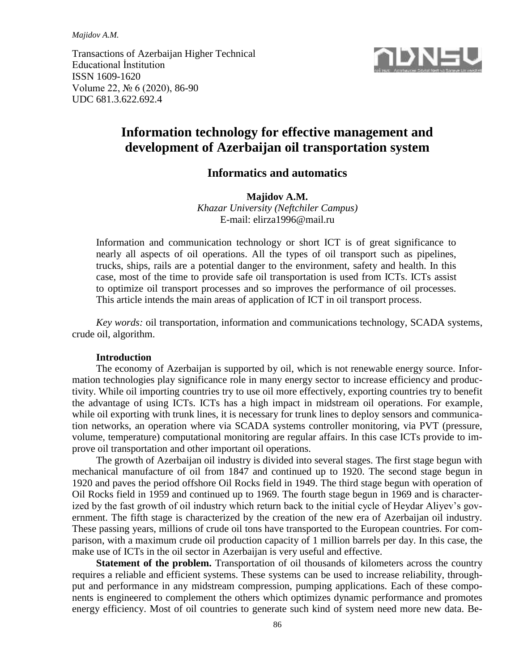*Majidov A.M.*

Transactions of Azerbaijan Higher Technical Educational İnstitution ISSN 1609-1620 Volume 22, № 6 (2020), 86-90 UDC 681.3.622.692.4



# **Information technology for effective management and development of Azerbaijan oil transportation system**

## **Informatics and automatics**

**Majidov A.M.** *Khazar University (Neftchiler Campus)*  E-mail: elirza1996@mail.ru

Information and communication technology or short ICT is of great significance to nearly all aspects of oil operations. All the types of oil transport such as pipelines, trucks, ships, rails are a potential danger to the environment, safety and health. In this case, most of the time to provide safe oil transportation is used from ICTs. ICTs assist to optimize oil transport processes and so improves the performance of oil processes. This article intends the main areas of application of ICT in oil transport process.

*Key words:* oil transportation, information and communications technology, SCADA systems, crude oil, algorithm.

#### **Introduction**

The economy of Azerbaijan is supported by oil, which is not renewable energy source. Information technologies play significance role in many energy sector to increase efficiency and productivity. While oil importing countries try to use oil more effectively, exporting countries try to benefit the advantage of using ICTs. ICTs has a high impact in midstream oil operations. For example, while oil exporting with trunk lines, it is necessary for trunk lines to deploy sensors and communication networks, an operation where via SCADA systems controller monitoring, via PVT (pressure, volume, temperature) computational monitoring are regular affairs. In this case ICTs provide to improve oil transportation and other important oil operations.

The growth of Azerbaijan oil industry is divided into several stages. The first stage begun with mechanical manufacture of oil from 1847 and continued up to 1920. The second stage begun in 1920 and paves the period offshore Oil Rocks field in 1949. The third stage begun with operation of Oil Rocks field in 1959 and continued up to 1969. The fourth stage begun in 1969 and is characterized by the fast growth of oil industry which return back to the initial cycle of Heydar Aliyev's government. The fifth stage is characterized by the creation of the new era of Azerbaijan oil industry. These passing years, millions of crude oil tons have transported to the European countries. For comparison, with a maximum crude oil production capacity of 1 million barrels per day. In this case, the make use of ICTs in the oil sector in Azerbaijan is very useful and effective.

**Statement of the problem.** Transportation of oil thousands of kilometers across the country requires a reliable and efficient systems. These systems can be used to increase reliability, throughput and performance in any midstream compression, pumping applications. Each of these components is engineered to complement the others which optimizes dynamic performance and promotes energy efficiency. Most of oil countries to generate such kind of system need more new data. Be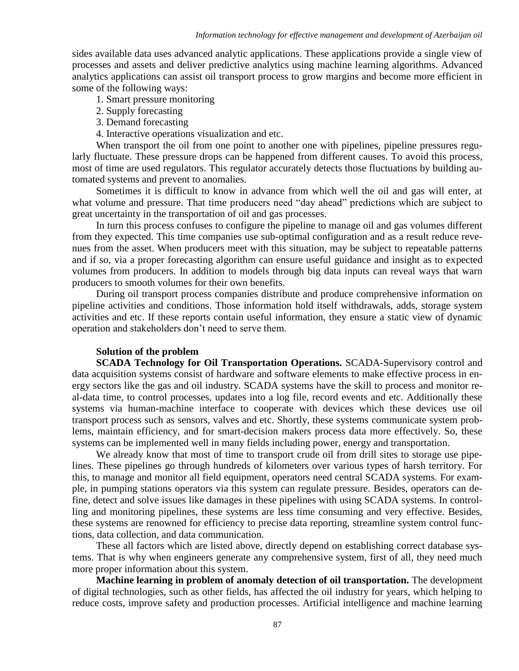sides available data uses advanced analytic applications. These applications provide a single view of processes and assets and deliver predictive analytics using machine learning algorithms. Advanced analytics applications can assist oil transport process to grow margins and become more efficient in some of the following ways:

1. Smart pressure monitoring

- 2. Supply forecasting
- 3. Demand forecasting
- 4. Interactive operations visualization and etc.

When transport the oil from one point to another one with pipelines, pipeline pressures regularly fluctuate. These pressure drops can be happened from different causes. To avoid this process, most of time are used regulators. This regulator accurately detects those fluctuations by building automated systems and prevent to anomalies.

Sometimes it is difficult to know in advance from which well the oil and gas will enter, at what volume and pressure. That time producers need "day ahead" predictions which are subject to great uncertainty in the transportation of oil and gas processes.

In turn this process confuses to configure the pipeline to manage oil and gas volumes different from they expected. This time companies use sub-optimal configuration and as a result reduce revenues from the asset. When producers meet with this situation, may be subject to repeatable patterns and if so, via a proper forecasting algorithm can ensure useful guidance and insight as to expected volumes from producers. In addition to models through big data inputs can reveal ways that warn producers to smooth volumes for their own benefits.

During oil transport process companies distribute and produce comprehensive information on pipeline activities and conditions. Those information hold itself withdrawals, adds, storage system activities and etc. If these reports contain useful information, they ensure a static view of dynamic operation and stakeholders don't need to serve them.

## **Solution of the problem**

**SCADA Technology for Oil Transportation Operations.** SCADA-Supervisory control and data acquisition systems consist of hardware and software elements to make effective process in energy sectors like the gas and oil industry. SCADA systems have the skill to process and monitor real-data time, to control processes, updates into a log file, record events and etc. Additionally these systems via human-machine interface to cooperate with devices which these devices use oil transport process such as sensors, valves and etc. Shortly, these systems communicate system problems, maintain efficiency, and for smart-decision makers process data more effectively. So, these systems can be implemented well in many fields including power, energy and transportation.

We already know that most of time to transport crude oil from drill sites to storage use pipelines. These pipelines go through hundreds of kilometers over various types of harsh territory. For this, to manage and monitor all field equipment, operators need central SCADA systems. For example, in pumping stations operators via this system can regulate pressure. Besides, operators can define, detect and solve issues like damages in these pipelines with using SCADA systems. In controlling and monitoring pipelines, these systems are less time consuming and very effective. Besides, these systems are renowned for efficiency to precise data reporting, streamline system control functions, data collection, and data communication.

These all factors which are listed above, directly depend on establishing correct database systems. That is why when engineers generate any comprehensive system, first of all, they need much more proper information about this system.

**Machine learning in problem of anomaly detection of oil transportation.** The development of digital technologies, such as other fields, has affected the oil industry for years, which helping to reduce costs, improve safety and production processes. Artificial intelligence and machine learning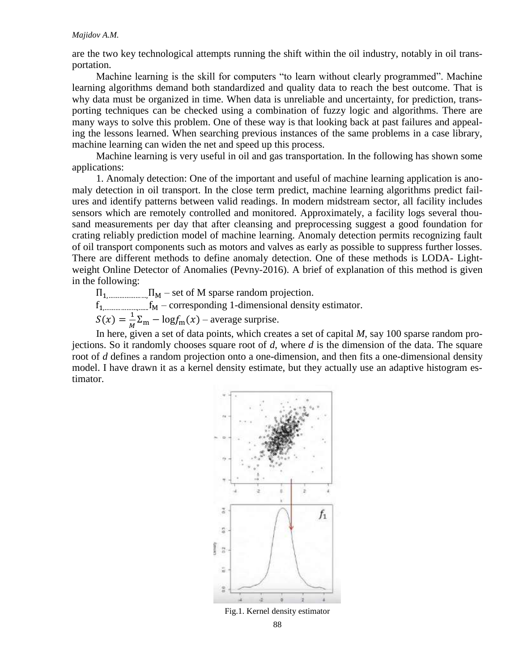are the two key technological attempts running the shift within the oil industry, notably in oil transportation.

Machine learning is the skill for computers "to learn without clearly programmed". Machine learning algorithms demand both standardized and quality data to reach the best outcome. That is why data must be organized in time. When data is unreliable and uncertainty, for prediction, transporting techniques can be checked using a combination of fuzzy logic and algorithms. There are many ways to solve this problem. One of these way is that looking back at past failures and appealing the lessons learned. When searching previous instances of the same problems in a case library, machine learning can widen the net and speed up this process.

Machine learning is very useful in oil and gas transportation. In the following has shown some applications:

1. Anomaly detection: One of the important and useful of machine learning application is anomaly detection in oil transport. In the close term predict, machine learning algorithms predict failures and identify patterns between valid readings. In modern midstream sector, all facility includes sensors which are remotely controlled and monitored. Approximately, a facility logs several thousand measurements per day that after cleansing and preprocessing suggest a good foundation for crating reliably prediction model of machine learning. Anomaly detection permits recognizing fault of oil transport components such as motors and valves as early as possible to suppress further losses. There are different methods to define anomaly detection. One of these methods is LODA- Lightweight Online Detector of Anomalies (Pevny-2016). A brief of explanation of this method is given in the following:

 $\Pi_{1, \dots, \dots, \dots, \dots, \Pi_M}$  – set of M sparse random projection.

 $f_{1, \dots, \dots, \dots, \dots, f_M}$  – corresponding 1-dimensional density estimator.

 $S(x) = \frac{1}{M}$  $\frac{1}{M}\Sigma_{\rm m} - \log f_{\rm m}(x)$  – average surprise.

In here, given a set of data points, which creates a set of capital *M*, say 100 sparse random projections. So it randomly chooses square root of *d*, where *d* is the dimension of the data. The square root of *d* defines a random projection onto a one-dimension, and then fits a one-dimensional density model. I have drawn it as a kernel density estimate, but they actually use an adaptive histogram estimator.



88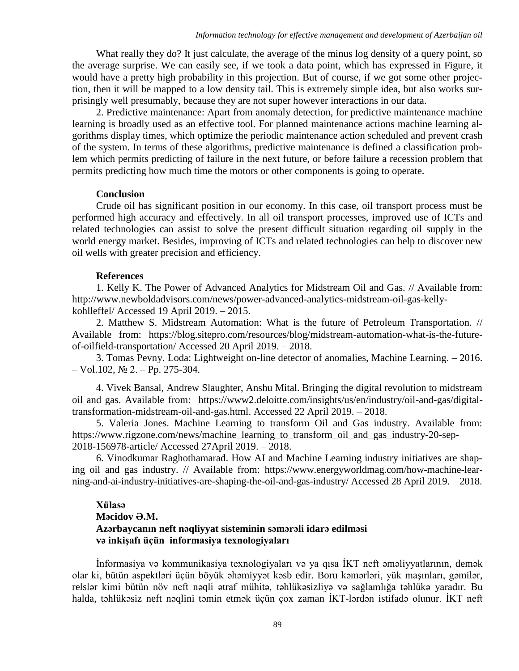What really they do? It just calculate, the average of the minus log density of a query point, so the average surprise. We can easily see, if we took a data point, which has expressed in Figure, it would have a pretty high probability in this projection. But of course, if we got some other projection, then it will be mapped to a low density tail. This is extremely simple idea, but also works surprisingly well presumably, because they are not super however interactions in our data.

2. Predictive maintenance: Apart from anomaly detection, for predictive maintenance machine learning is broadly used as an effective tool. For planned maintenance actions machine learning algorithms display times, which optimize the periodic maintenance action scheduled and prevent crash of the system. In terms of these algorithms, predictive maintenance is defined a classification problem which permits predicting of failure in the next future, or before failure a recession problem that permits predicting how much time the motors or other components is going to operate.

#### **Conclusion**

Crude oil has significant position in our economy. In this case, oil transport process must be performed high accuracy and effectively. In all oil transport processes, improved use of ICTs and related technologies can assist to solve the present difficult situation regarding oil supply in the world energy market. Besides, improving of ICTs and related technologies can help to discover new oil wells with greater precision and efficiency.

### **References**

1. Kelly K. The Power of Advanced Analytics for Midstream Oil and Gas. // Available from: [http://www.newboldadvisors.com/news/power-advanced-analytics-midstream-oil-gas-kelly](http://www.newboldadvisors.com/news/power-advanced-analytics-midstream-oil-gas-kelly-kohlleffel/)[kohlleffel/](http://www.newboldadvisors.com/news/power-advanced-analytics-midstream-oil-gas-kelly-kohlleffel/) Accessed 19 April 2019. – 2015.

2. Matthew S. Midstream Automation: What is the future of Petroleum Transportation. // Available from: [https://blog.sitepro.com/resources/blog/midstream-automation-what-is-the-future](https://blog.sitepro.com/resources/blog/midstream-automation-what-is-the-future-of-oilfield-transportation/)[of-oilfield-transportation/](https://blog.sitepro.com/resources/blog/midstream-automation-what-is-the-future-of-oilfield-transportation/) Accessed 20 April 2019. – 2018.

3. Tomas Pevny. Loda: Lightweight on-line detector of anomalies, Machine Learning. – 2016.  $-$  Vol.102,  $\mathbb{N}$ <sup>o</sup> 2. – Pp. 275-304.

4. Vivek Bansal, Andrew Slaughter, Anshu Mital. Bringing the digital revolution to midstream oil and gas. Available from: [https://www2.deloitte.com/insights/us/en/industry/oil-and-gas/digital](https://www2.deloitte.com/insights/us/en/industry/oil-and-gas/digital-transformation-midstream-oil-and-gas.html)[transformation-midstream-oil-and-gas.html.](https://www2.deloitte.com/insights/us/en/industry/oil-and-gas/digital-transformation-midstream-oil-and-gas.html) Accessed 22 April 2019. – 2018.

5. Valeria Jones. Machine Learning to transform Oil and Gas industry. Available from: [https://www.rigzone.com/news/machine\\_learning\\_to\\_transform\\_oil\\_and\\_gas\\_industry-20-sep-](https://www.rigzone.com/news/machine_learning_to_transform_oil_and_gas_industry-20-sep-2018-156978-article/)[2018-156978-article/](https://www.rigzone.com/news/machine_learning_to_transform_oil_and_gas_industry-20-sep-2018-156978-article/) Accessed 27April 2019. – 2018.

6. Vinodkumar Raghothamarad. How AI and Machine Learning industry initiatives are shaping oil and gas industry. // Available from: [https://www.energyworldmag.com/how-machine-lear](https://www.energyworldmag.com/how-machine-lear-ning-and-ai-industry-initiatives-are-shaping-the-oil-and-gas-industry/)[ning-and-ai-industry-initiatives-are-shaping-the-oil-and-gas-industry/](https://www.energyworldmag.com/how-machine-lear-ning-and-ai-industry-initiatives-are-shaping-the-oil-and-gas-industry/) Accessed 28 April 2019. – 2018.

## **Xülasə Məcidov Ə.M. Azərbaycanın neft nəqliyyat sisteminin səmərəli idarə edilməsi və inkişafı üçün informasiya texnologiyaları**

İnformasiya və kommunikasiya texnologiyaları və ya qısa İKT neft əməliyyatlarının, demək olar ki, bütün aspektləri üçün böyük əhəmiyyət kəsb edir. Boru kəmərləri, yük maşınları, gəmilər, relslər kimi bütün növ neft nəqli ətraf mühitə, təhlükəsizliyə və sağlamlığa təhlükə yaradır. Bu halda, təhlükəsiz neft nəqlini təmin etmək üçün çox zaman İKT-lərdən istifadə olunur. İKT neft